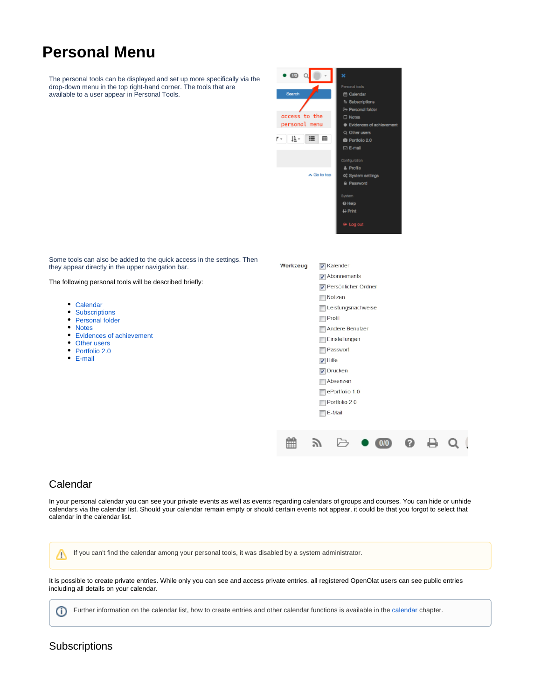# **Personal Menu**

The personal tools can be displayed and set up more specifically via the drop-down menu in the top right-hand corner. The tools that are available to a user appear in Personal Tools.



Some tools can also be added to the quick access in the settings. Then they appear directly in the upper navigation bar.

The following personal tools will be described briefly:

- [Calendar](#page-0-0)
- $\bullet$ **[Subscriptions](#page-0-1)**
- [Personal folder](#page-1-0)
- [Notes](#page-1-1)
- [Evidences of achievement](#page-1-2)
- [Other users](#page-1-3)
- [Portfolio 2.0](#page-1-4)
- [E-mail](#page-1-5)

| Werkzeug |                                                                                                      | <b>V</b> Kalender   |  |     |  |  |  |  |
|----------|------------------------------------------------------------------------------------------------------|---------------------|--|-----|--|--|--|--|
|          | $\sqrt{\phantom{a}}$ Abonnements                                                                     |                     |  |     |  |  |  |  |
|          |                                                                                                      | Persönlicher Ordner |  |     |  |  |  |  |
|          |                                                                                                      | Notizen             |  |     |  |  |  |  |
|          |                                                                                                      | Leistungsnachweise  |  |     |  |  |  |  |
|          | Profil<br>Andere Benutzer                                                                            |                     |  |     |  |  |  |  |
|          |                                                                                                      |                     |  |     |  |  |  |  |
|          | Einstellungen                                                                                        |                     |  |     |  |  |  |  |
|          | Passwort<br>$\sqrt{}$ Hilfe<br>$\overline{v}$ Drucken<br>Absenzen<br>ePortfolio 1.0<br>Portfolio 2.0 |                     |  |     |  |  |  |  |
|          |                                                                                                      |                     |  |     |  |  |  |  |
|          |                                                                                                      |                     |  |     |  |  |  |  |
|          |                                                                                                      |                     |  |     |  |  |  |  |
|          |                                                                                                      |                     |  |     |  |  |  |  |
|          |                                                                                                      |                     |  |     |  |  |  |  |
|          |                                                                                                      | E-Mail              |  |     |  |  |  |  |
|          |                                                                                                      |                     |  |     |  |  |  |  |
|          |                                                                                                      |                     |  |     |  |  |  |  |
|          |                                                                                                      |                     |  | 0/0 |  |  |  |  |
|          |                                                                                                      |                     |  |     |  |  |  |  |

# <span id="page-0-0"></span>Calendar

In your personal calendar you can see your private events as well as events regarding calendars of groups and courses. You can hide or unhide calendars via the calendar list. Should your calendar remain empty or should certain events not appear, it could be that you forgot to select that calendar in the calendar list.

If you can't find the calendar among your personal tools, it was disabled by a system administrator. Δ

It is possible to create private entries. While only you can see and access private entries, all registered OpenOlat users can see public entries including all details on your calendar.

Further information on the calendar list, how to create entries and other calendar functions is available in the [calendar](https://confluence.openolat.org/display/OO154EN/Calendar) chapter. $\odot$ 

# <span id="page-0-1"></span>**Subscriptions**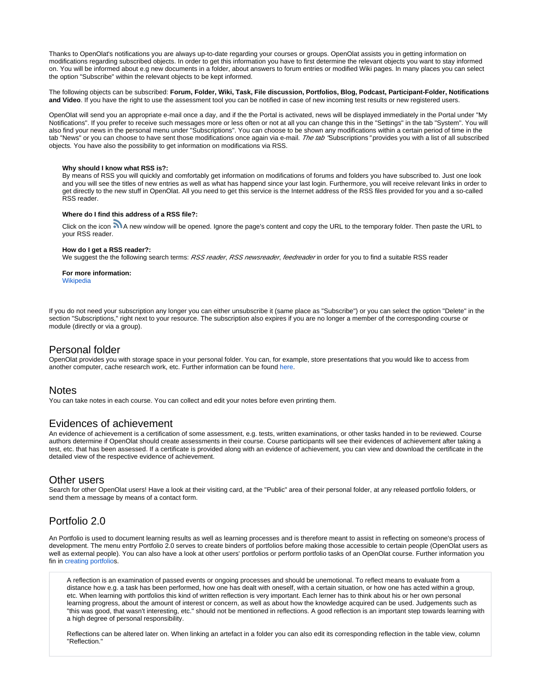

Thanks to OpenOlat's notifications you are always up-to-date regarding your courses or groups. OpenOlat assists you in getting information on modifications regarding subscribed objects. In order to get this information you have to first determine the relevant objects you want to stay informed on. You will be informed about e.g new documents in a folder, about answers to forum entries or modified Wiki pages. In many places you can select the option "Subscribe" within the relevant objects to be kept informed.

The following objects can be subscribed: **Forum, Folder, Wiki, Task, File discussion, Portfolios, Blog, Podcast, Participant-Folder, Notifications and Video**. If you have the right to use the assessment tool you can be notified in case of new incoming test results or new registered users.

OpenOlat will send you an appropriate e-mail once a day, and if the the Portal is activated, news will be displayed immediately in the Portal under "My Notifications". If you prefer to receive such messages more or less often or not at all you can change this in the "Settings" in the tab "System". You will also find your news in the personal menu under "Subscriptions". You can choose to be shown any modifications within a certain period of time in the tab "News" or you can choose to have sent those modifications once again via e-mail. The tab "Subscriptions" provides you with a list of all subscribed objects. You have also the possibility to get information on modifications via RSS.

#### **Why should I know what RSS is?:**

By means of RSS you will quickly and comfortably get information on modifications of forums and folders you have subscribed to. Just one look and you will see the titles of new entries as well as what has happend since your last login. Furthermore, you will receive relevant links in order to get directly to the new stuff in OpenOlat. All you need to get this service is the Internet address of the RSS files provided for you and a so-called RSS reader.

#### **Where do I find this address of a RSS file?:**

Click on the icon **M** A new window will be opened. Ignore the page's content and copy the URL to the temporary folder. Then paste the URL to your RSS reader.

#### **How do I get a RSS reader?:**

We suggest the the following search terms: RSS reader, RSS newsreader, feedreader in order for you to find a suitable RSS reader

#### **For more information:** [Wikipedia](http://en.wikipedia.org/wiki/Rss_feed)

If you do not need your subscription any longer you can either unsubscribe it (same place as "Subscribe") or you can select the option "Delete" in the section "Subscriptions," right next to your resource. The subscription also expires if you are no longer a member of the corresponding course or module (directly or via a group).

#### <span id="page-1-0"></span>Personal folder

OpenOlat provides you with storage space in your personal folder. You can, for example, store presentations that you would like to access from another computer, cache research work, etc. Further information can be found [here.](https://confluence.openolat.org/display/OO154EN/Personal+folders)

## <span id="page-1-1"></span>Notes

You can take notes in each course. You can collect and edit your notes before even printing them.

## <span id="page-1-2"></span>Evidences of achievement

An evidence of achievement is a certification of some assessment, e.g. tests, written examinations, or other tasks handed in to be reviewed. Course authors determine if OpenOlat should create assessments in their course. Course participants will see their evidences of achievement after taking a test, etc. that has been assessed. If a certificate is provided along with an evidence of achievement, you can view and download the certificate in the detailed view of the respective evidence of achievement.

## <span id="page-1-3"></span>Other users

Search for other OpenOlat users! Have a look at their visiting card, at the "Public" area of their personal folder, at any released portfolio folders, or send them a message by means of a contact form.

## <span id="page-1-4"></span>Portfolio 2.0

An Portfolio is used to document learning results as well as learning processes and is therefore meant to assist in reflecting on someone's process of development. The menu entry Portfolio 2.0 serves to create binders of portfolios before making those accessible to certain people (OpenOlat users as well as external people). You can also have a look at other users' portfolios or perform portfolio tasks of an OpenOlat course. Further information you fin in [creating portfolios](https://confluence.openolat.org/display/OO154EN/Creating+Portfolios).

A reflection is an examination of passed events or ongoing processes and should be unemotional. To reflect means to evaluate from a distance how e.g. a task has been performed, how one has dealt with oneself, with a certain situation, or how one has acted within a group, etc. When learning with portfolios this kind of written reflection is very important. Each lerner has to think about his or her own personal learning progress, about the amount of interest or concern, as well as about how the knowledge acquired can be used. Judgements such as "this was good, that wasn't interesting, etc." should not be mentioned in reflections. A good reflection is an important step towards learning with a high degree of personal responsibility.

<span id="page-1-5"></span>Reflections can be altered later on. When linking an artefact in a folder you can also edit its corresponding reflection in the table view, column "Reflection."